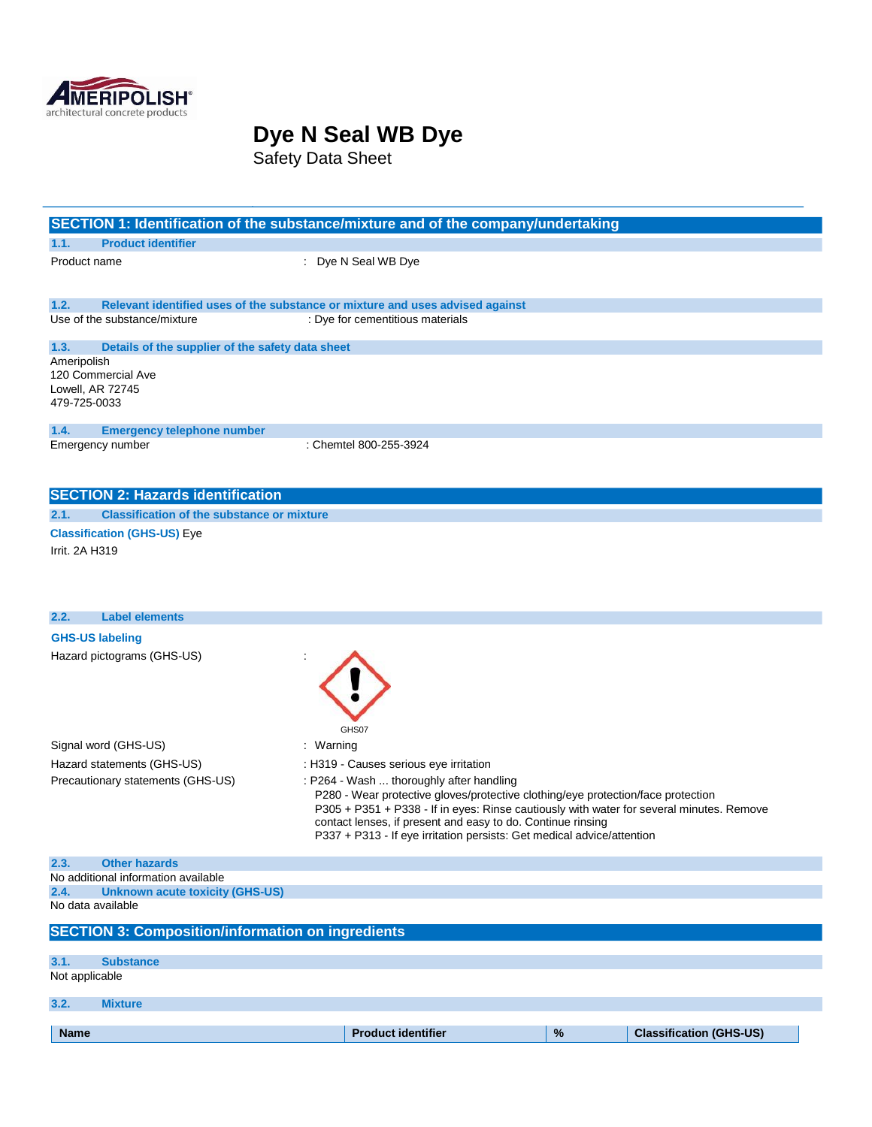

Safety Data Sheet

| SECTION 1: Identification of the substance/mixture and of the company/undertaking                                     |                                                                                                                                                                                                                                                                                                                                                                   |      |                                |
|-----------------------------------------------------------------------------------------------------------------------|-------------------------------------------------------------------------------------------------------------------------------------------------------------------------------------------------------------------------------------------------------------------------------------------------------------------------------------------------------------------|------|--------------------------------|
| <b>Product identifier</b><br>1.1.                                                                                     |                                                                                                                                                                                                                                                                                                                                                                   |      |                                |
| Product name                                                                                                          | : Dye N Seal WB Dye                                                                                                                                                                                                                                                                                                                                               |      |                                |
| 1.2.<br>Relevant identified uses of the substance or mixture and uses advised against<br>Use of the substance/mixture | : Dye for cementitious materials                                                                                                                                                                                                                                                                                                                                  |      |                                |
| 1.3.<br>Details of the supplier of the safety data sheet                                                              |                                                                                                                                                                                                                                                                                                                                                                   |      |                                |
| Ameripolish<br>120 Commercial Ave<br>Lowell, AR 72745<br>479-725-0033                                                 |                                                                                                                                                                                                                                                                                                                                                                   |      |                                |
| 1.4.<br><b>Emergency telephone number</b><br>Emergency number                                                         | : Chemtel 800-255-3924                                                                                                                                                                                                                                                                                                                                            |      |                                |
| <b>SECTION 2: Hazards identification</b>                                                                              |                                                                                                                                                                                                                                                                                                                                                                   |      |                                |
| 2.1.<br><b>Classification of the substance or mixture</b>                                                             |                                                                                                                                                                                                                                                                                                                                                                   |      |                                |
| <b>Classification (GHS-US) Eye</b><br>Irrit. 2A H319                                                                  |                                                                                                                                                                                                                                                                                                                                                                   |      |                                |
| <b>Label elements</b><br>2.2.                                                                                         |                                                                                                                                                                                                                                                                                                                                                                   |      |                                |
| <b>GHS-US labeling</b><br>Hazard pictograms (GHS-US)                                                                  | GHS07                                                                                                                                                                                                                                                                                                                                                             |      |                                |
| Signal word (GHS-US)                                                                                                  | : Warning                                                                                                                                                                                                                                                                                                                                                         |      |                                |
| Hazard statements (GHS-US)                                                                                            | : H319 - Causes serious eye irritation                                                                                                                                                                                                                                                                                                                            |      |                                |
| Precautionary statements (GHS-US)                                                                                     | : P264 - Wash  thoroughly after handling<br>P280 - Wear protective gloves/protective clothing/eye protection/face protection<br>P305 + P351 + P338 - If in eyes: Rinse cautiously with water for several minutes. Remove<br>contact lenses, if present and easy to do. Continue rinsing<br>P337 + P313 - If eye irritation persists: Get medical advice/attention |      |                                |
| 2.3.<br><b>Other hazards</b>                                                                                          |                                                                                                                                                                                                                                                                                                                                                                   |      |                                |
| No additional information available                                                                                   |                                                                                                                                                                                                                                                                                                                                                                   |      |                                |
| 2.4.<br><b>Unknown acute toxicity (GHS-US)</b><br>No data available                                                   |                                                                                                                                                                                                                                                                                                                                                                   |      |                                |
| <b>SECTION 3: Composition/information on ingredients</b>                                                              |                                                                                                                                                                                                                                                                                                                                                                   |      |                                |
| <b>Substance</b><br>3.1.                                                                                              |                                                                                                                                                                                                                                                                                                                                                                   |      |                                |
| Not applicable                                                                                                        |                                                                                                                                                                                                                                                                                                                                                                   |      |                                |
| 3.2.<br><b>Mixture</b>                                                                                                |                                                                                                                                                                                                                                                                                                                                                                   |      |                                |
| <b>Name</b>                                                                                                           | <b>Product identifier</b>                                                                                                                                                                                                                                                                                                                                         | $\%$ | <b>Classification (GHS-US)</b> |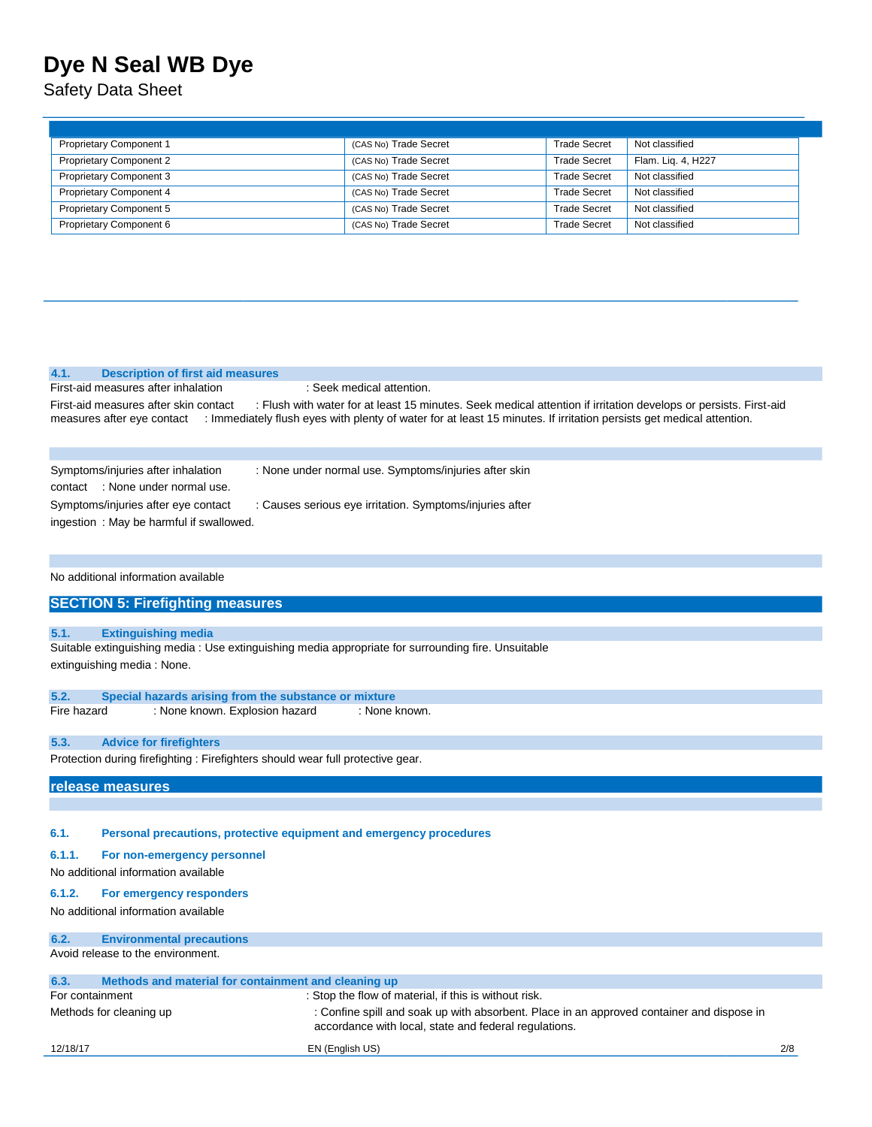Safety Data Sheet

| <b>Proprietary Component 1</b> | (CAS No) Trade Secret | <b>Trade Secret</b> | Not classified     |
|--------------------------------|-----------------------|---------------------|--------------------|
| <b>Proprietary Component 2</b> | (CAS No) Trade Secret | <b>Trade Secret</b> | Flam. Lig. 4, H227 |
| <b>Proprietary Component 3</b> | (CAS No) Trade Secret | <b>Trade Secret</b> | Not classified     |
| <b>Proprietary Component 4</b> | (CAS No) Trade Secret | <b>Trade Secret</b> | Not classified     |
| <b>Proprietary Component 5</b> | (CAS No) Trade Secret | <b>Trade Secret</b> | Not classified     |
| Proprietary Component 6        | (CAS No) Trade Secret | <b>Trade Secret</b> | Not classified     |

#### **4.1. Description of first aid measures**

First-aid measures after inhalation : Seek medical attention.

First-aid measures after skin contact : Flush with water for at least 15 minutes. Seek medical attention if irritation develops or persists. First-aid measures after eye contact : Immediately flush eyes with plenty of water for at least 15 minutes. If irritation persists get medical attention.

| Symptoms/injuries after inhalation       | : None under normal use. Symptoms/injuries after skin    |
|------------------------------------------|----------------------------------------------------------|
| contact: : None under normal use.        |                                                          |
| Symptoms/injuries after eye contact      | : Causes serious eye irritation. Symptoms/injuries after |
| ingestion : May be harmful if swallowed. |                                                          |

No additional information available

### **SECTION 5: Firefighting measures**

#### **5.1. Extinguishing media**

Suitable extinguishing media : Use extinguishing media appropriate for surrounding fire. Unsuitable extinguishing media : None.

| 5.2.        | Special hazards arising from the substance or mixture |                                |               |
|-------------|-------------------------------------------------------|--------------------------------|---------------|
| Fire hazard |                                                       | : None known. Explosion hazard | : None known. |

#### **5.3. Advice for firefighters**

Protection during firefighting : Firefighters should wear full protective gear.

**release measures** 

**6.1. Personal precautions, protective equipment and emergency procedures** 

#### **6.1.1. For non-emergency personnel**

No additional information available

#### **6.1.2. For emergency responders**

No additional information available

| 6.2.            | <b>Environmental precautions</b>                     |                                                                                                                                                    |     |
|-----------------|------------------------------------------------------|----------------------------------------------------------------------------------------------------------------------------------------------------|-----|
|                 | Avoid release to the environment.                    |                                                                                                                                                    |     |
|                 |                                                      |                                                                                                                                                    |     |
| 6.3.            | Methods and material for containment and cleaning up |                                                                                                                                                    |     |
| For containment |                                                      | : Stop the flow of material, if this is without risk.                                                                                              |     |
|                 | Methods for cleaning up                              | : Confine spill and soak up with absorbent. Place in an approved container and dispose in<br>accordance with local, state and federal regulations. |     |
| 12/18/17        |                                                      | EN (English US)                                                                                                                                    | 2/8 |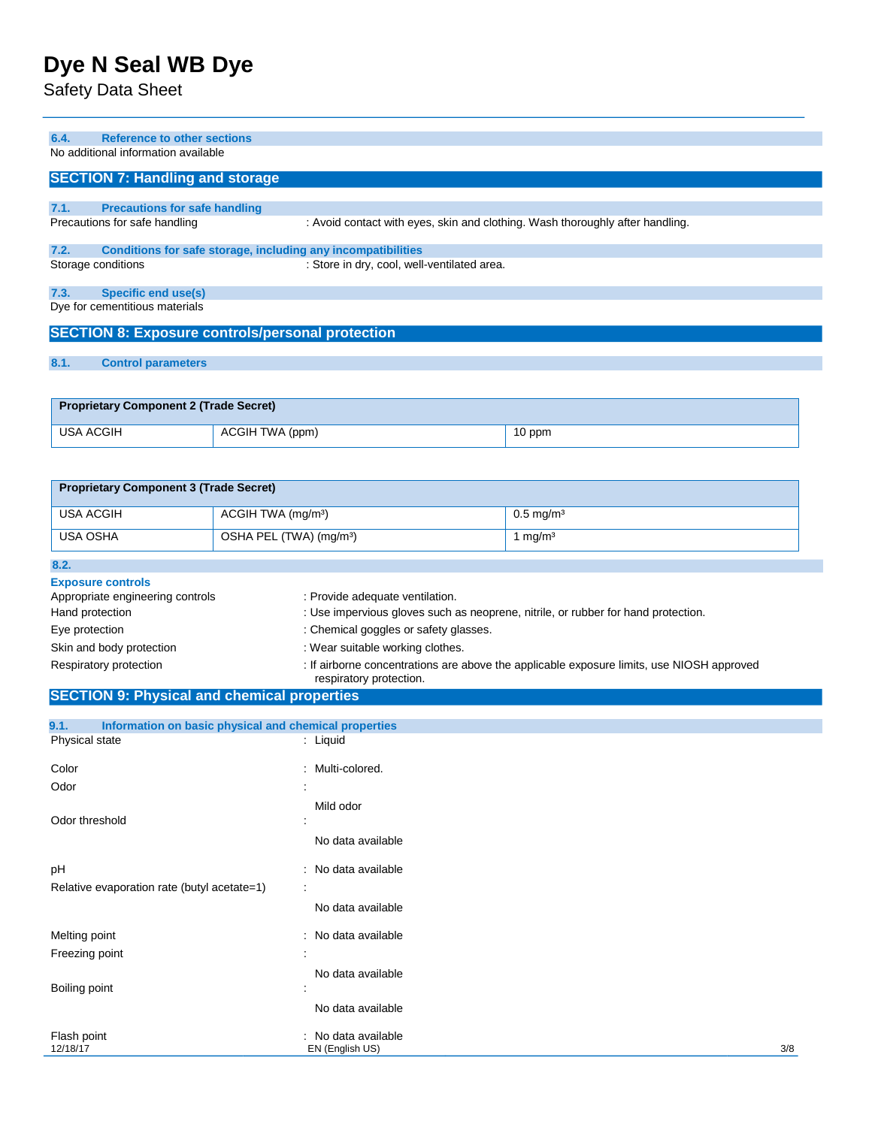## Safety Data Sheet

| 6.4.             | <b>Reference to other sections</b>            |                                                              |                                                                               |
|------------------|-----------------------------------------------|--------------------------------------------------------------|-------------------------------------------------------------------------------|
|                  | No additional information available           |                                                              |                                                                               |
|                  |                                               |                                                              |                                                                               |
|                  | <b>SECTION 7: Handling and storage</b>        |                                                              |                                                                               |
|                  |                                               |                                                              |                                                                               |
| 7.1.             | <b>Precautions for safe handling</b>          |                                                              |                                                                               |
|                  | Precautions for safe handling                 |                                                              | : Avoid contact with eyes, skin and clothing. Wash thoroughly after handling. |
| 7.2.             |                                               | Conditions for safe storage, including any incompatibilities |                                                                               |
|                  | Storage conditions                            | : Store in dry, cool, well-ventilated area.                  |                                                                               |
|                  |                                               |                                                              |                                                                               |
| 7.3.             | <b>Specific end use(s)</b>                    |                                                              |                                                                               |
|                  | Dye for cementitious materials                |                                                              |                                                                               |
|                  |                                               |                                                              |                                                                               |
|                  |                                               | <b>SECTION 8: Exposure controls/personal protection</b>      |                                                                               |
|                  |                                               |                                                              |                                                                               |
| 8.1.             | <b>Control parameters</b>                     |                                                              |                                                                               |
|                  |                                               |                                                              |                                                                               |
|                  |                                               |                                                              |                                                                               |
|                  | <b>Proprietary Component 2 (Trade Secret)</b> |                                                              |                                                                               |
| <b>USA ACGIH</b> |                                               | ACGIH TWA (ppm)                                              | 10 ppm                                                                        |
|                  |                                               |                                                              |                                                                               |
|                  |                                               |                                                              |                                                                               |
|                  | <b>Proprietary Component 3 (Trade Secret)</b> |                                                              |                                                                               |
|                  |                                               |                                                              |                                                                               |

| <b>Flophetaly Component 3 (Trade Secret)</b> |                                     |                         |
|----------------------------------------------|-------------------------------------|-------------------------|
| USA ACGIH                                    | ACGIH TWA (mg/m <sup>3</sup> )      | $0.5 \,\mathrm{mq/m^3}$ |
| USA OSHA                                     | OSHA PEL (TWA) (mg/m <sup>3</sup> ) | mg/m <sup>3</sup>       |

| 8.2.                                                         |                                                                                                                      |
|--------------------------------------------------------------|----------------------------------------------------------------------------------------------------------------------|
| <b>Exposure controls</b><br>Appropriate engineering controls | : Provide adequate ventilation.                                                                                      |
| Hand protection                                              | : Use impervious gloves such as neoprene, nitrile, or rubber for hand protection.                                    |
| Eye protection                                               | : Chemical goggles or safety glasses.                                                                                |
| Skin and body protection                                     | : Wear suitable working clothes.                                                                                     |
| Respiratory protection                                       | : If airborne concentrations are above the applicable exposure limits, use NIOSH approved<br>respiratory protection. |

# **SECTION 9: Physical and chemical properties**

| 9.1.                    | Information on basic physical and chemical properties |                                        |     |
|-------------------------|-------------------------------------------------------|----------------------------------------|-----|
| Physical state          |                                                       | : Liquid                               |     |
| Color                   |                                                       | : Multi-colored.                       |     |
| Odor                    | $\ddot{\phantom{a}}$                                  |                                        |     |
| Odor threshold          |                                                       | Mild odor                              |     |
|                         |                                                       | No data available                      |     |
| pH                      |                                                       | : No data available                    |     |
|                         | Relative evaporation rate (butyl acetate=1)           | ÷                                      |     |
|                         |                                                       | No data available                      |     |
| Melting point           |                                                       | : No data available                    |     |
| Freezing point          | $\mathbf{r}$                                          |                                        |     |
| Boiling point           |                                                       | No data available                      |     |
|                         |                                                       | No data available                      |     |
| Flash point<br>12/18/17 |                                                       | : No data available<br>EN (English US) | 3/8 |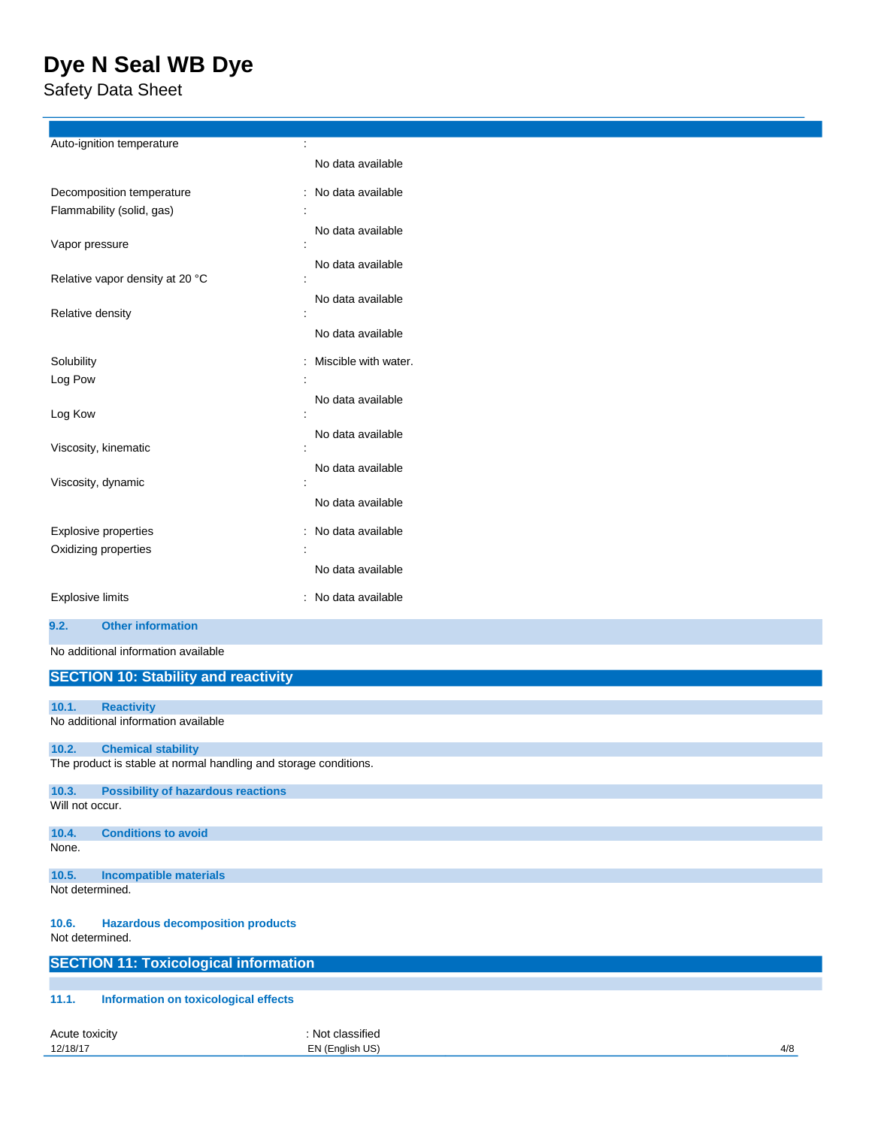Safety Data Sheet

| Auto-ignition temperature                                        | ÷                    |     |
|------------------------------------------------------------------|----------------------|-----|
|                                                                  | No data available    |     |
| Decomposition temperature                                        | : No data available  |     |
| Flammability (solid, gas)                                        |                      |     |
|                                                                  | No data available    |     |
| Vapor pressure                                                   |                      |     |
| Relative vapor density at 20 °C                                  | No data available    |     |
|                                                                  | No data available    |     |
| Relative density                                                 | t                    |     |
|                                                                  | No data available    |     |
| Solubility                                                       | Miscible with water. |     |
| Log Pow                                                          |                      |     |
|                                                                  | No data available    |     |
| Log Kow                                                          | No data available    |     |
| Viscosity, kinematic                                             |                      |     |
|                                                                  | No data available    |     |
| Viscosity, dynamic                                               |                      |     |
|                                                                  | No data available    |     |
| Explosive properties                                             | : No data available  |     |
| Oxidizing properties                                             |                      |     |
|                                                                  | No data available    |     |
| <b>Explosive limits</b>                                          | : No data available  |     |
| <b>Other information</b><br>9.2.                                 |                      |     |
|                                                                  |                      |     |
| No additional information available                              |                      |     |
| <b>SECTION 10: Stability and reactivity</b>                      |                      |     |
| <b>Reactivity</b><br>10.1.                                       |                      |     |
| No additional information available                              |                      |     |
| 10.2.<br><b>Chemical stability</b>                               |                      |     |
| The product is stable at normal handling and storage conditions. |                      |     |
| <b>Possibility of hazardous reactions</b><br>10.3.               |                      |     |
| Will not occur.                                                  |                      |     |
| 10.4.<br><b>Conditions to avoid</b>                              |                      |     |
| None.                                                            |                      |     |
| 10.5.<br><b>Incompatible materials</b>                           |                      |     |
| Not determined.                                                  |                      |     |
| <b>Hazardous decomposition products</b><br>10.6.                 |                      |     |
| Not determined.                                                  |                      |     |
| <b>SECTION 11: Toxicological information</b>                     |                      |     |
|                                                                  |                      |     |
| Information on toxicological effects<br>11.1.                    |                      |     |
| Acute toxicity                                                   | : Not classified     |     |
| 12/18/17                                                         | EN (English US)      | 4/8 |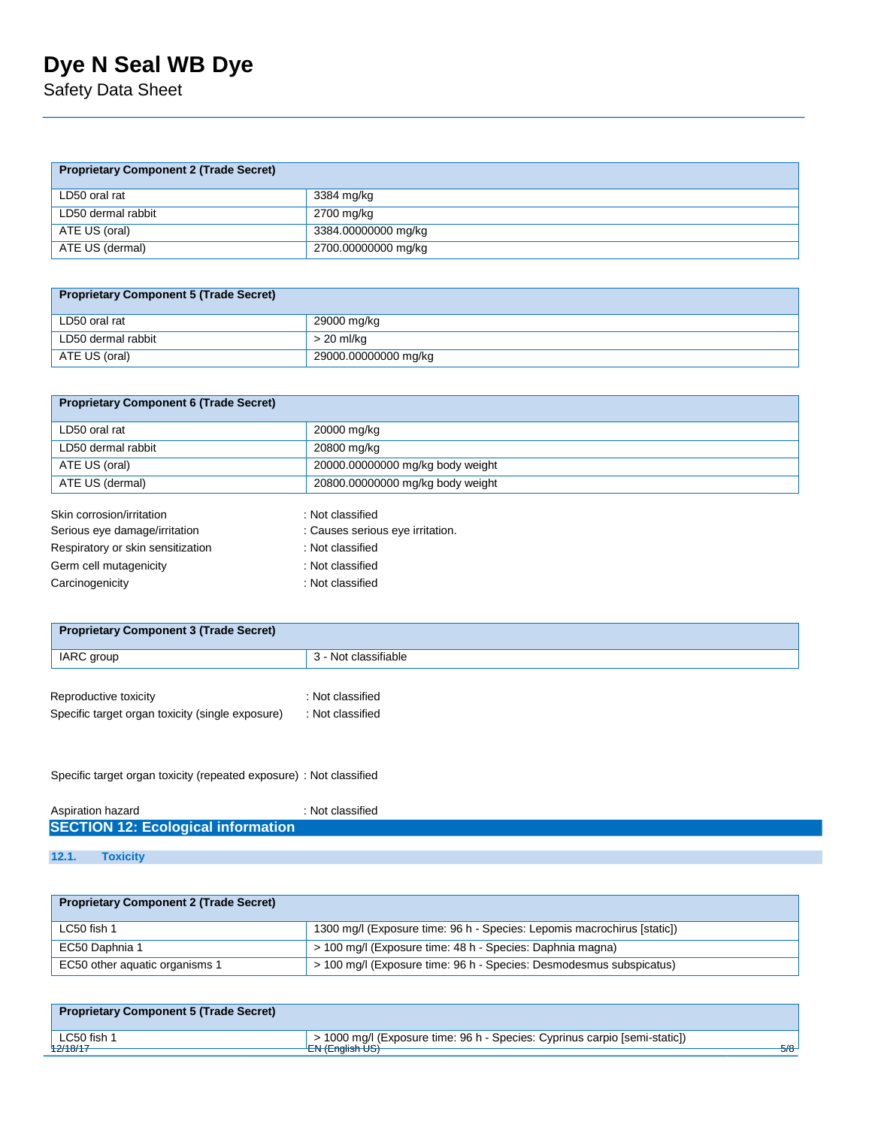Safety Data Sheet

| <b>Proprietary Component 2 (Trade Secret)</b> |                     |  |
|-----------------------------------------------|---------------------|--|
| LD50 oral rat                                 | 3384 mg/kg          |  |
| LD50 dermal rabbit                            | 2700 mg/kg          |  |
| ATE US (oral)                                 | 3384.00000000 mg/kg |  |
| ATE US (dermal)                               | 2700.00000000 mg/kg |  |

| <b>Proprietary Component 5 (Trade Secret)</b> |                      |  |
|-----------------------------------------------|----------------------|--|
| LD50 oral rat                                 | 29000 mg/kg          |  |
| LD50 dermal rabbit                            | > 20 ml/kg           |  |
| ATE US (oral)                                 | 29000.00000000 mg/kg |  |

| <b>Proprietary Component 6 (Trade Secret)</b>              |                                                      |
|------------------------------------------------------------|------------------------------------------------------|
| LD50 oral rat                                              | 20000 mg/kg                                          |
| LD50 dermal rabbit                                         | 20800 mg/kg                                          |
| ATE US (oral)                                              | 20000.00000000 mg/kg body weight                     |
| ATE US (dermal)                                            | 20800.00000000 mg/kg body weight                     |
| Skin corrosion/irritation<br>Serious eye damage/irritation | : Not classified<br>: Causes serious eye irritation. |

| : Causes serious eye irritation |
|---------------------------------|
| : Not classified                |
| : Not classified                |
| : Not classified                |
|                                 |

| 3 - Not classifiable |
|----------------------|
|                      |
| : Not classified     |
| : Not classified     |
|                      |

Specific target organ toxicity (repeated exposure) : Not classified

| Aspiration hazard                         | : Not classified |
|-------------------------------------------|------------------|
| <b>SECTION 12: Ecological information</b> |                  |
|                                           |                  |

**12.1. Toxicity** 

| <b>Proprietary Component 2 (Trade Secret)</b> |                                                                         |
|-----------------------------------------------|-------------------------------------------------------------------------|
| LC50 fish 1                                   | 1300 mg/l (Exposure time: 96 h - Species: Lepomis macrochirus [static]) |
| EC50 Daphnia 1                                | > 100 mg/l (Exposure time: 48 h - Species: Daphnia magna)               |
| EC50 other aguatic organisms 1                | > 100 mg/l (Exposure time: 96 h - Species: Desmodesmus subspicatus)     |

| <b>Proprietary Component 5 (Trade Secret)</b> |                                                                            |     |
|-----------------------------------------------|----------------------------------------------------------------------------|-----|
| $^{\prime}$ LC50 fish.                        | > 1000 mg/l (Exposure time: 96 h - Species: Cyprinus carpio [semi-static]) |     |
| 42/18/17                                      | $F + F - F - F - F$<br><b>LIV (Liigiisit UO)</b>                           | 5/8 |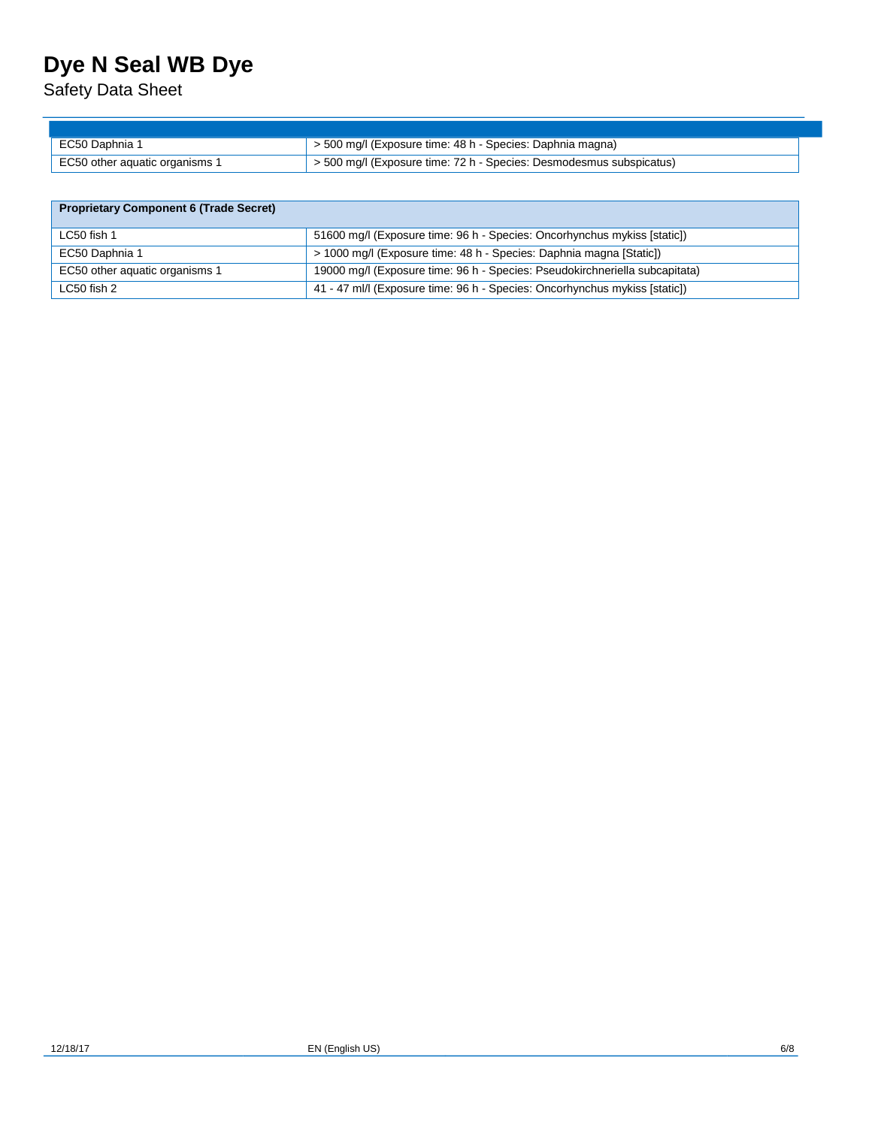Safety Data Sheet

| EC50 Daphnia 1                 | $\vert$ > 500 mg/l (Exposure time: 48 h - Species: Daphnia magna)   |
|--------------------------------|---------------------------------------------------------------------|
| EC50 other aquatic organisms 1 | > 500 mg/l (Exposure time: 72 h - Species: Desmodesmus subspicatus) |

| <b>Proprietary Component 6 (Trade Secret)</b> |  |
|-----------------------------------------------|--|
|-----------------------------------------------|--|

| LC50 fish 1                    | 51600 mg/l (Exposure time: 96 h - Species: Oncorhynchus mykiss [static])    |
|--------------------------------|-----------------------------------------------------------------------------|
| EC50 Daphnia 1                 | > 1000 mg/l (Exposure time: 48 h - Species: Daphnia magna [Static])         |
| EC50 other aquatic organisms 1 | 19000 mg/l (Exposure time: 96 h - Species: Pseudokirchneriella subcapitata) |
| LC50 fish 2                    | 41 - 47 ml/l (Exposure time: 96 h - Species: Oncorhynchus mykiss [static])  |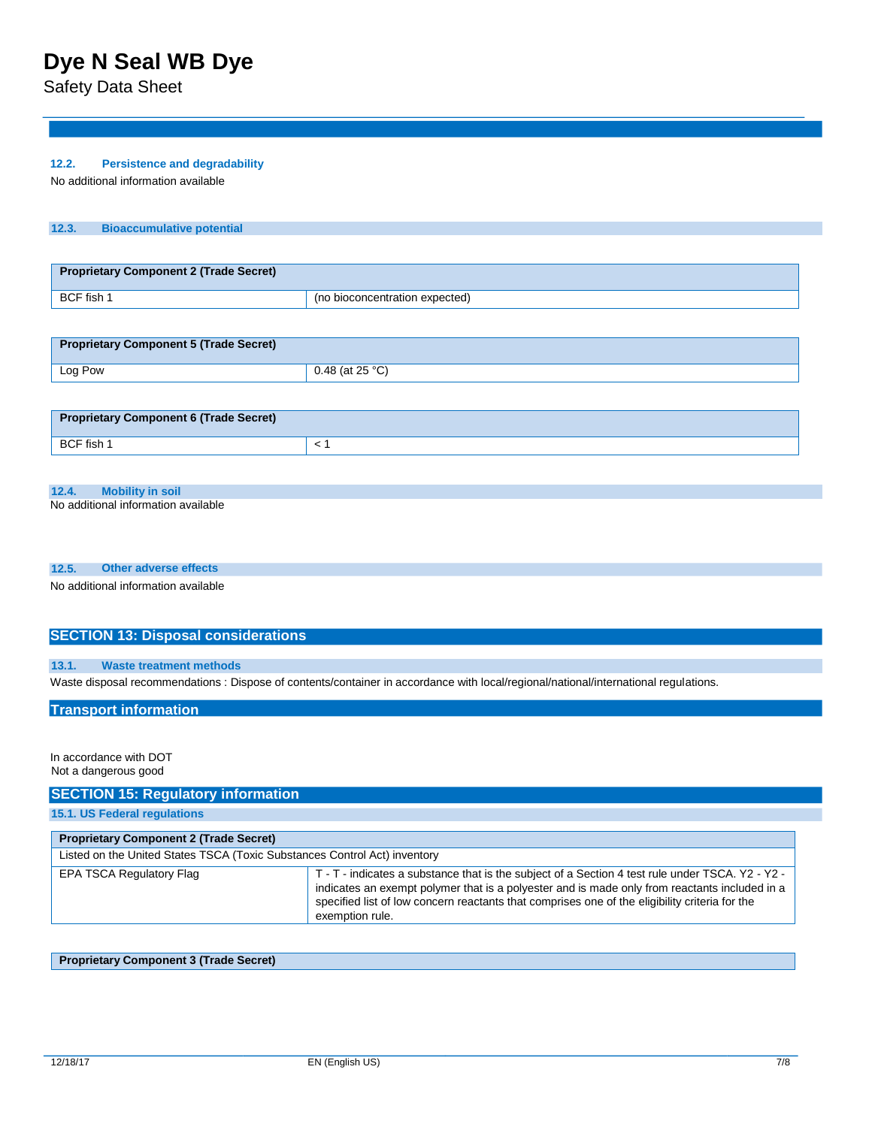Safety Data Sheet

### **12.2. Persistence and degradability**

No additional information available

#### **12.3. Bioaccumulative potential**

| Proprietary Component 2 (Trade Secret) |                                |
|----------------------------------------|--------------------------------|
| BCF fish 1                             | (no bioconcentration expected) |

| Proprietary Component 5 (Trade Secret) |                 |
|----------------------------------------|-----------------|
| Log Pow                                | 0.48 (at 25 °C) |

| <b>Proprietary Component 6 (Trade Secret)</b> |  |
|-----------------------------------------------|--|
| BCF fish 1                                    |  |

#### **12.4. Mobility in soil**

No additional information available

#### **12.5. Other adverse effects**

No additional information available

### **SECTION 13: Disposal considerations**

#### **13.1. Waste treatment methods**

Waste disposal recommendations : Dispose of contents/container in accordance with local/regional/national/international regulations.

#### **Transport information**

In accordance with DOT Not a dangerous good

### **SECTION 15: Regulatory information**

**15.1. US Federal regulations** 

| <b>Proprietary Component 2 (Trade Secret)</b> |                                                                                                                                                                                                                                                                                                                        |  |  |
|-----------------------------------------------|------------------------------------------------------------------------------------------------------------------------------------------------------------------------------------------------------------------------------------------------------------------------------------------------------------------------|--|--|
|                                               | Listed on the United States TSCA (Toxic Substances Control Act) inventory                                                                                                                                                                                                                                              |  |  |
| <b>EPA TSCA Regulatory Flag</b>               | T - T - indicates a substance that is the subject of a Section 4 test rule under TSCA. Y2 - Y2 -<br>indicates an exempt polymer that is a polyester and is made only from reactants included in a<br>specified list of low concern reactants that comprises one of the eligibility criteria for the<br>exemption rule. |  |  |

### **Proprietary Component 3 (Trade Secret)**